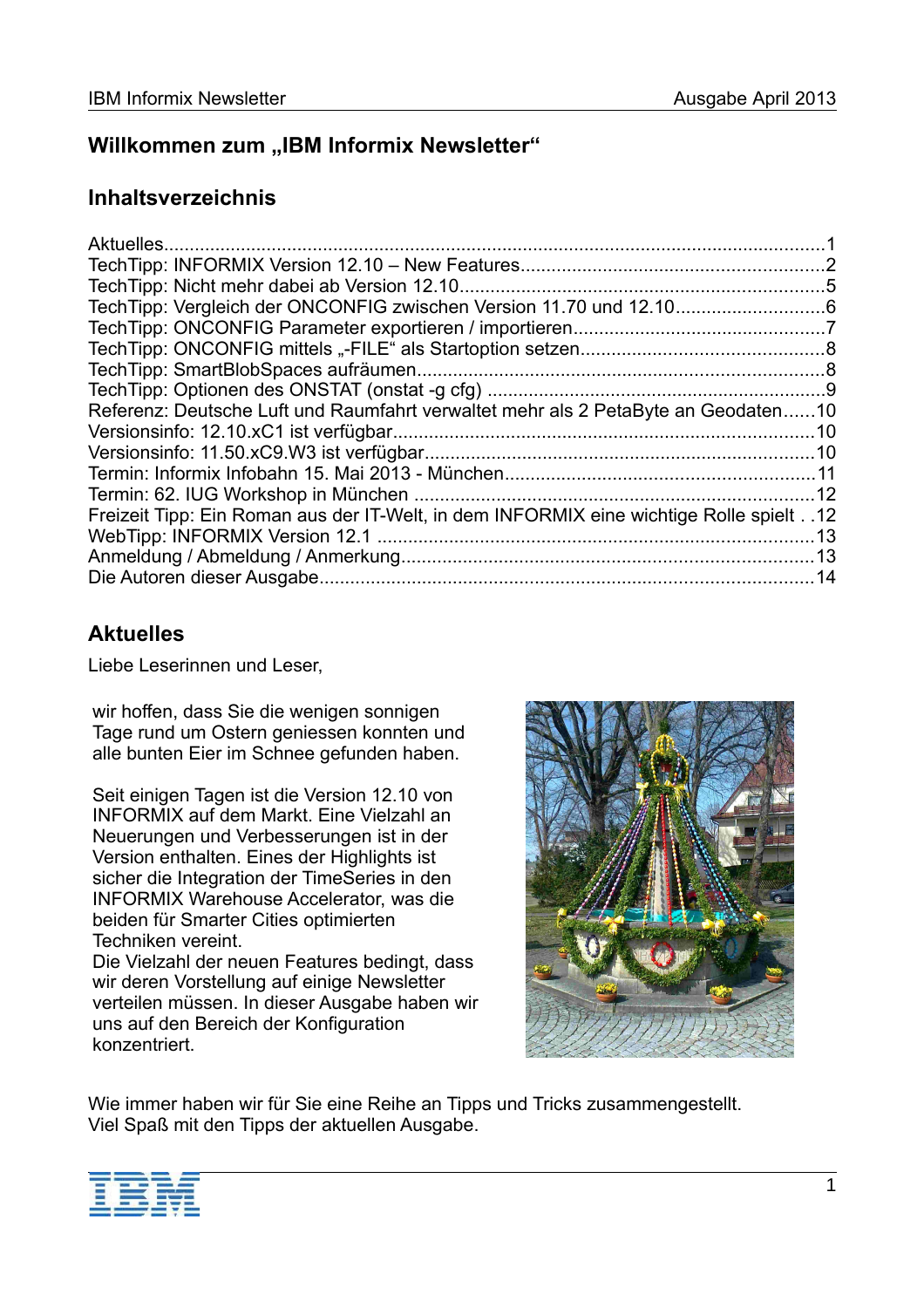# **Willkommen zum "IBM Informix Newsletter"**

## **Inhaltsverzeichnis**

| Aktuelles                                                                                  |    |
|--------------------------------------------------------------------------------------------|----|
|                                                                                            |    |
|                                                                                            |    |
|                                                                                            |    |
|                                                                                            |    |
|                                                                                            |    |
|                                                                                            |    |
|                                                                                            |    |
| Referenz: Deutsche Luft und Raumfahrt verwaltet mehr als 2 PetaByte an Geodaten10          |    |
|                                                                                            |    |
|                                                                                            |    |
|                                                                                            |    |
|                                                                                            | 12 |
| 12. . Freizeit Tipp: Ein Roman aus der IT-Welt, in dem INFORMIX eine wichtige Rolle spielt |    |
|                                                                                            | 13 |
|                                                                                            |    |
|                                                                                            | 14 |

# **Aktuelles**

Liebe Leserinnen und Leser,

wir hoffen, dass Sie die wenigen sonnigen Tage rund um Ostern geniessen konnten und alle bunten Eier im Schnee gefunden haben.

Seit einigen Tagen ist die Version 12.10 von INFORMIX auf dem Markt. Eine Vielzahl an Neuerungen und Verbesserungen ist in der Version enthalten. Eines der Highlights ist sicher die Integration der TimeSeries in den INFORMIX Warehouse Accelerator, was die beiden für Smarter Cities optimierten Techniken vereint.

Die Vielzahl der neuen Features bedingt, dass wir deren Vorstellung auf einige Newsletter verteilen müssen. In dieser Ausgabe haben wir uns auf den Bereich der Konfiguration konzentriert.



Wie immer haben wir für Sie eine Reihe an Tipps und Tricks zusammengestellt. Viel Spaß mit den Tipps der aktuellen Ausgabe.

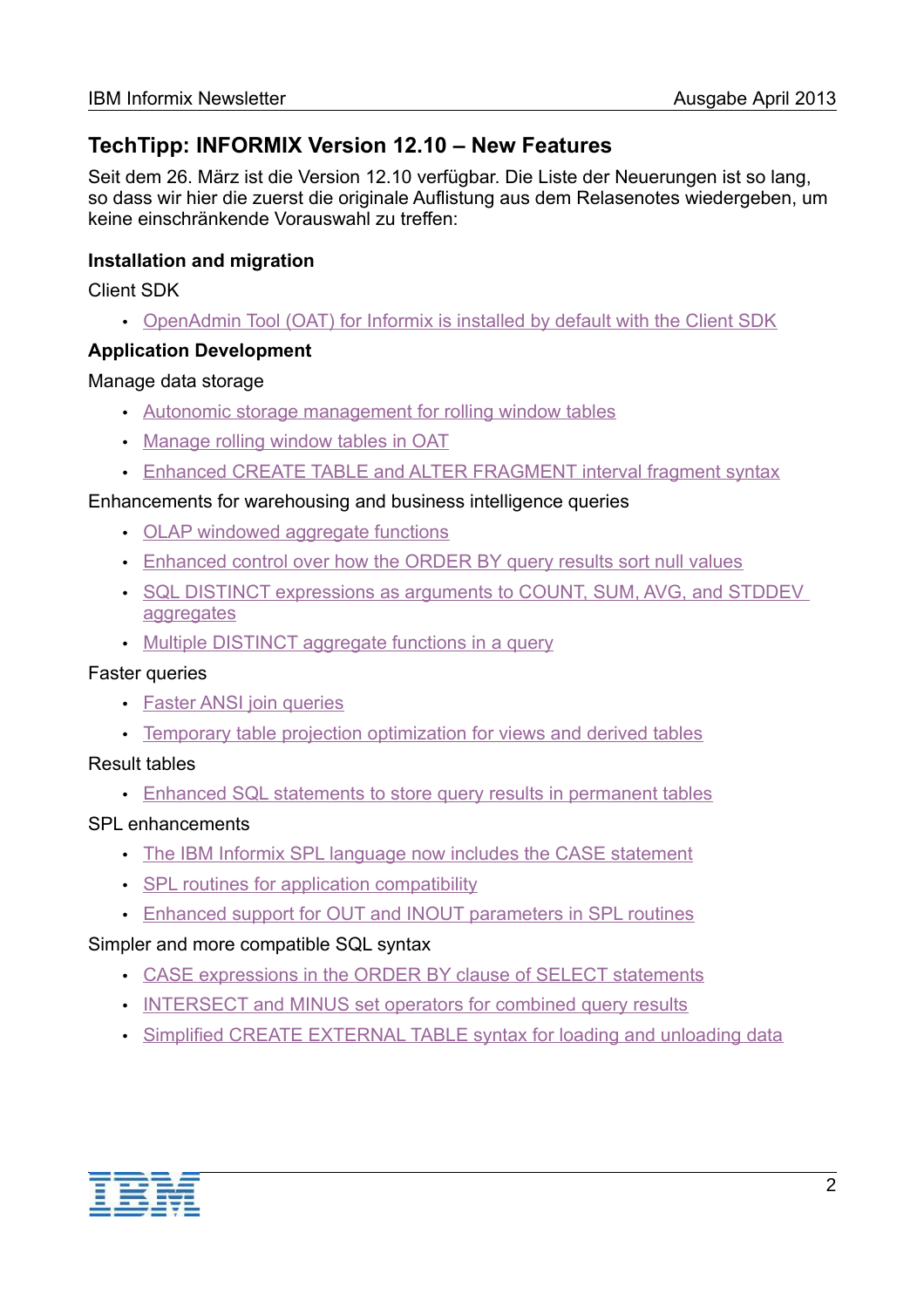## **TechTipp: INFORMIX Version 12.10 – New Features**

Seit dem 26. März ist die Version 12.10 verfügbar. Die Liste der Neuerungen ist so lang, so dass wir hier die zuerst die originale Auflistung aus dem Relasenotes wiedergeben, um keine einschränkende Vorauswahl zu treffen:

### **Installation and migration**

Client SDK

• [OpenAdmin Tool \(OAT\) for Informix is installed by default with the Client SDK](http://pic.dhe.ibm.com/infocenter/informix/v121/topic/com.ibm.po.doc/new_features_ce.htm#newxc1__oatdefinstall)

#### **Application Development**

#### Manage data storage

- • [Autonomic storage management for rolling window tables](http://pic.dhe.ibm.com/infocenter/informix/v121/topic/com.ibm.po.doc/new_features_ce.htm#newxc1__autostorrwt)
- [Manage rolling window tables in OAT](http://pic.dhe.ibm.com/infocenter/informix/v121/topic/com.ibm.po.doc/new_features_ce.htm#newxc1__oatrwt)
- [Enhanced CREATE TABLE and ALTER FRAGMENT interval fragment syntax](http://pic.dhe.ibm.com/infocenter/informix/v121/topic/com.ibm.po.doc/new_features_ce.htm#newxc1__crtablealtf)

#### Enhancements for warehousing and business intelligence queries

- • [OLAP windowed aggregate functions](http://pic.dhe.ibm.com/infocenter/informix/v121/topic/com.ibm.po.doc/new_features_ce.htm#newxc1__feat_OLAP)
- [Enhanced control over how the ORDER BY query results sort null values](http://pic.dhe.ibm.com/infocenter/informix/v121/topic/com.ibm.po.doc/new_features_ce.htm#newxc1__feat_ORDERBY)
- [SQL DISTINCT expressions as arguments to COUNT, SUM, AVG, and STDDEV](http://pic.dhe.ibm.com/infocenter/informix/v121/topic/com.ibm.po.doc/new_features_ce.htm#newxc1__feat_DISTINCT)  [aggregates](http://pic.dhe.ibm.com/infocenter/informix/v121/topic/com.ibm.po.doc/new_features_ce.htm#newxc1__feat_DISTINCT)
- • [Multiple DISTINCT aggregate functions in a query](http://pic.dhe.ibm.com/infocenter/informix/v121/topic/com.ibm.po.doc/new_features_ce.htm#newxc1__feat_agg)

#### Faster queries

- • [Faster ANSI join queries](http://pic.dhe.ibm.com/infocenter/informix/v121/topic/com.ibm.po.doc/new_features_ce.htm#newxc1__feat_ansi)
- [Temporary table projection optimization for views and derived tables](http://pic.dhe.ibm.com/infocenter/informix/v121/topic/com.ibm.po.doc/new_features_ce.htm#newxc1__feat_OPT)

#### Result tables

• [Enhanced SQL statements to store query results in permanent tables](http://pic.dhe.ibm.com/infocenter/informix/v121/topic/com.ibm.po.doc/new_features_ce.htm#newxc1__crtabassel)

#### SPL enhancements

- [The IBM Informix SPL language now includes the CASE statement](http://pic.dhe.ibm.com/infocenter/informix/v121/topic/com.ibm.po.doc/new_features_ce.htm#newxc1__feat_spl)
- [SPL routines for application compatibility](http://pic.dhe.ibm.com/infocenter/informix/v121/topic/com.ibm.po.doc/new_features_ce.htm#newxc1__feat_iek)
- [Enhanced support for OUT and INOUT parameters in SPL routines](http://pic.dhe.ibm.com/infocenter/informix/v121/topic/com.ibm.po.doc/new_features_ce.htm#newxc1__feat_INOUT)

### Simpler and more compatible SQL syntax

- [CASE expressions in the ORDER BY clause of SELECT statements](http://pic.dhe.ibm.com/infocenter/informix/v121/topic/com.ibm.po.doc/new_features_ce.htm#newxc1__caseordersel)
- [INTERSECT and MINUS set operators for combined query results](http://pic.dhe.ibm.com/infocenter/informix/v121/topic/com.ibm.po.doc/new_features_ce.htm#newxc1__intermin)
- [Simplified CREATE EXTERNAL TABLE syntax for loading and unloading data](http://pic.dhe.ibm.com/infocenter/informix/v121/topic/com.ibm.po.doc/new_features_ce.htm#newxc1__escape)

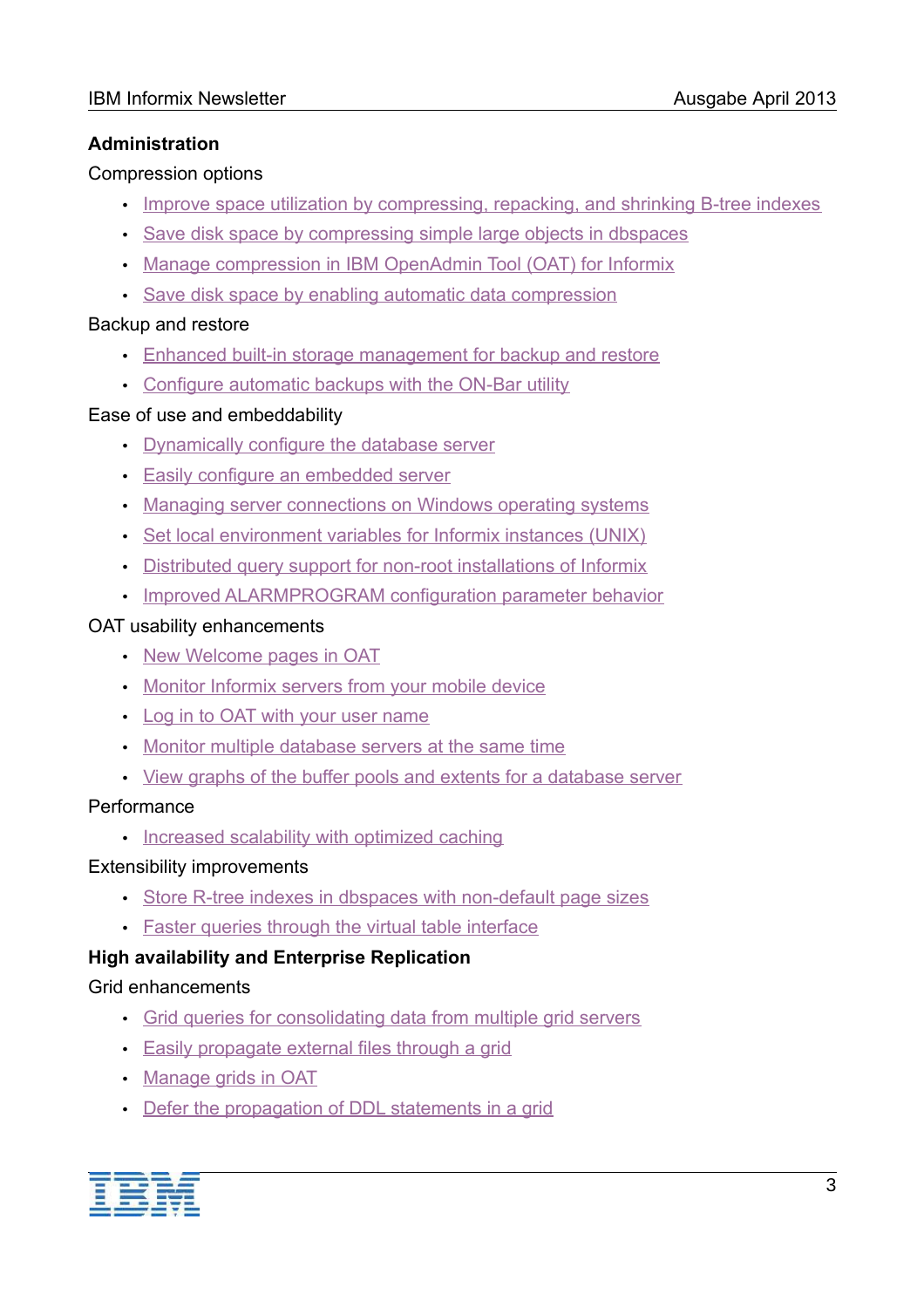## **Administration**

### Compression options

- • [Improve space utilization by compressing, repacking, and shrinking B-tree indexes](http://pic.dhe.ibm.com/infocenter/informix/v121/topic/com.ibm.po.doc/new_features_ce.htm#newxc1__feat_Bcompress)
- [Save disk space by compressing simple large objects in dbspaces](http://pic.dhe.ibm.com/infocenter/informix/v121/topic/com.ibm.po.doc/new_features_ce.htm#newxc1__feat_disccomp)
- [Manage compression in IBM OpenAdmin Tool \(OAT\) for Informix](http://pic.dhe.ibm.com/infocenter/informix/v121/topic/com.ibm.po.doc/new_features_ce.htm#newxc1__oatcomp)
- [Save disk space by enabling automatic data compression](http://pic.dhe.ibm.com/infocenter/informix/v121/topic/com.ibm.po.doc/new_features_ce.htm#newxc1__feat_DCOMP)

## Backup and restore

- [Enhanced built-in storage management for backup and restore](http://pic.dhe.ibm.com/infocenter/informix/v121/topic/com.ibm.po.doc/new_features_ce.htm#newxc1__feat_onpsm)
- [Configure automatic backups with the ON-Bar utility](http://pic.dhe.ibm.com/infocenter/informix/v121/topic/com.ibm.po.doc/new_features_ce.htm#newxc1__oatbar)

## Ease of use and embeddability

- • [Dynamically configure the database server](http://pic.dhe.ibm.com/infocenter/informix/v121/topic/com.ibm.po.doc/new_features_ce.htm#newxc1__feat_Dconfig)
- [Easily configure an embedded server](http://pic.dhe.ibm.com/infocenter/informix/v121/topic/com.ibm.po.doc/new_features_ce.htm#newxc1__feat_Econfig)
- [Managing server connections on Windows operating systems](http://pic.dhe.ibm.com/infocenter/informix/v121/topic/com.ibm.po.doc/new_features_ce.htm#newxc1__sqlhosts)
- [Set local environment variables for Informix instances \(UNIX\)](http://pic.dhe.ibm.com/infocenter/informix/v121/topic/com.ibm.po.doc/new_features_ce.htm#newxc1__START)
- [Distributed query support for non-root installations of Informix](http://pic.dhe.ibm.com/infocenter/informix/v121/topic/com.ibm.po.doc/new_features_ce.htm#newxc1__feat_querynonroot)
- [Improved ALARMPROGRAM configuration parameter behavior](http://pic.dhe.ibm.com/infocenter/informix/v121/topic/com.ibm.po.doc/new_features_ce.htm#newxc1__alarmprogram)

### OAT usability enhancements

- • [New Welcome pages in OAT](http://pic.dhe.ibm.com/infocenter/informix/v121/topic/com.ibm.po.doc/new_features_ce.htm#newxc1__oatwel)
- [Monitor Informix servers from your mobile device](http://pic.dhe.ibm.com/infocenter/informix/v121/topic/com.ibm.po.doc/new_features_ce.htm#newxc1__oatmobile)
- [Log in to OAT with your user name](http://pic.dhe.ibm.com/infocenter/informix/v121/topic/com.ibm.po.doc/new_features_ce.htm#newxc1__oatuser)
- [Monitor multiple database servers at the same time](http://pic.dhe.ibm.com/infocenter/informix/v121/topic/com.ibm.po.doc/new_features_ce.htm#newxc1__oatmulti)
- [View graphs of the buffer pools and extents for a database server](http://pic.dhe.ibm.com/infocenter/informix/v121/topic/com.ibm.po.doc/new_features_ce.htm#newxc1__oatgraph)

## **Performance**

• [Increased scalability with optimized caching](http://pic.dhe.ibm.com/infocenter/informix/v121/topic/com.ibm.po.doc/new_features_ce.htm#newxc1__CACHING)

### Extensibility improvements

- [Store R-tree indexes in dbspaces with non-default page sizes](http://pic.dhe.ibm.com/infocenter/informix/v121/topic/com.ibm.po.doc/new_features_ce.htm#newxc1__rtree)
- [Faster queries through the virtual table interface](http://pic.dhe.ibm.com/infocenter/informix/v121/topic/com.ibm.po.doc/new_features_ce.htm#newxc1__fqvti)

## **High availability and Enterprise Replication**

### Grid enhancements

- • [Grid queries for consolidating data from multiple grid servers](http://pic.dhe.ibm.com/infocenter/informix/v121/topic/com.ibm.po.doc/new_features_ce.htm#newxc1__dquer)
- [Easily propagate external files through a grid](http://pic.dhe.ibm.com/infocenter/informix/v121/topic/com.ibm.po.doc/new_features_ce.htm#newxc1__feat_grid)
- • [Manage grids in OAT](http://pic.dhe.ibm.com/infocenter/informix/v121/topic/com.ibm.po.doc/new_features_ce.htm#newxc1__oatgrid)
- [Defer the propagation of DDL statements in a grid](http://pic.dhe.ibm.com/infocenter/informix/v121/topic/com.ibm.po.doc/new_features_ce.htm#newxc1__griddefer)

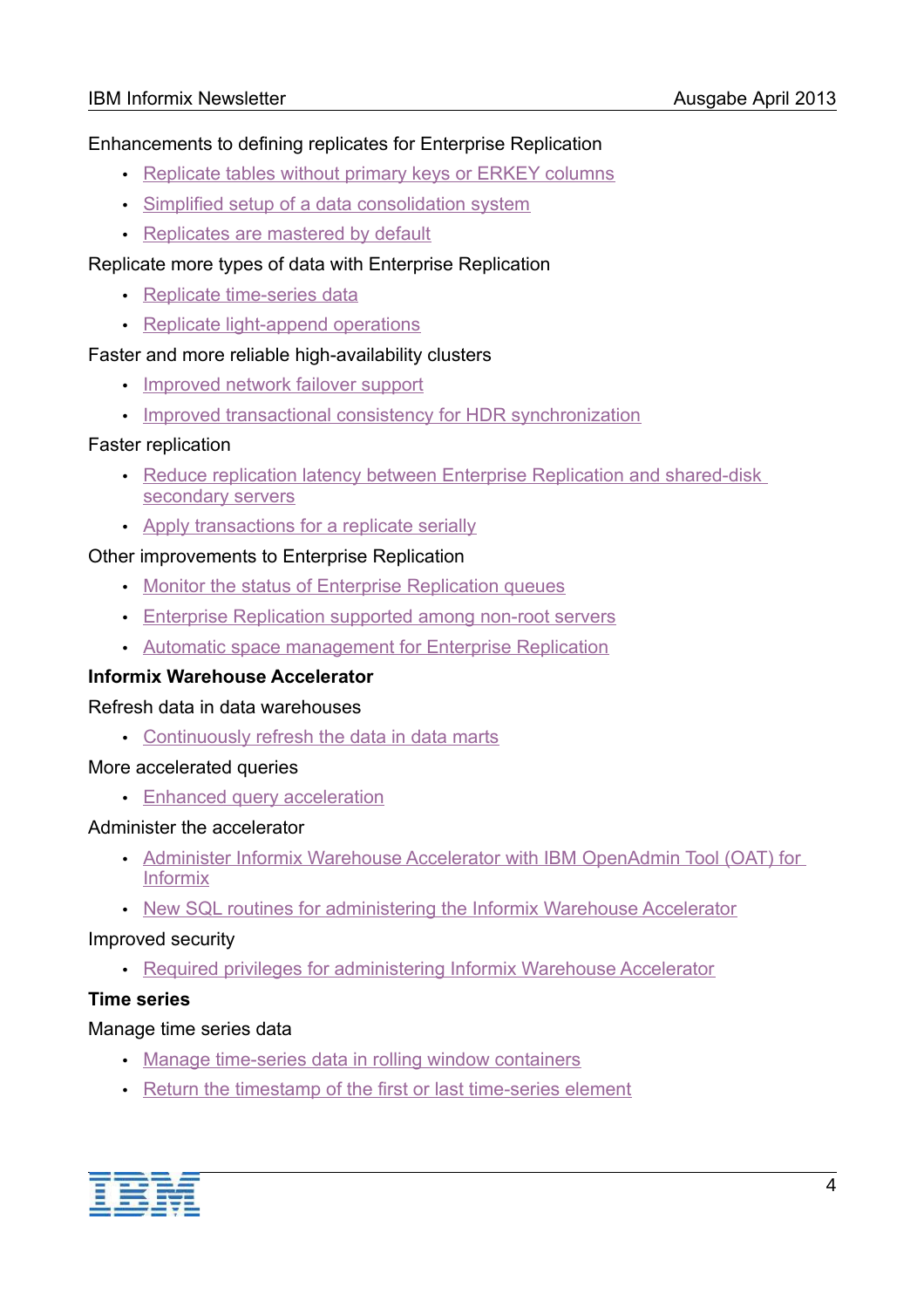### Enhancements to defining replicates for Enterprise Replication

- • [Replicate tables without primary keys or ERKEY columns](http://pic.dhe.ibm.com/infocenter/informix/v121/topic/com.ibm.po.doc/new_features_ce.htm#newxc1__repltabwoerkey)
- [Simplified setup of a data consolidation system](http://pic.dhe.ibm.com/infocenter/informix/v121/topic/com.ibm.po.doc/new_features_ce.htm#newxc1__feat_setup)
- [Replicates are mastered by default](http://pic.dhe.ibm.com/infocenter/informix/v121/topic/com.ibm.po.doc/new_features_ce.htm#newxc1__replmaster)

## Replicate more types of data with Enterprise Replication

- • [Replicate time-series data](http://pic.dhe.ibm.com/infocenter/informix/v121/topic/com.ibm.po.doc/new_features_ce.htm#newxc1__REPLTS)
- [Replicate light-append operations](http://pic.dhe.ibm.com/infocenter/informix/v121/topic/com.ibm.po.doc/new_features_ce.htm#newxc1__LIGHTAPP)

### Faster and more reliable high-availability clusters

- • [Improved network failover support](http://pic.dhe.ibm.com/infocenter/informix/v121/topic/com.ibm.po.doc/new_features_ce.htm#newxc1__feat_fail)
- [Improved transactional consistency for HDR synchronization](http://pic.dhe.ibm.com/infocenter/informix/v121/topic/com.ibm.po.doc/new_features_ce.htm#newxc1__transconhdr)

#### Faster replication

- Reduce replication latency between Enterprise Replication and shared-disk [secondary servers](http://pic.dhe.ibm.com/infocenter/informix/v121/topic/com.ibm.po.doc/new_features_ce.htm#newxc1__rederlatent)
- • [Apply transactions for a replicate serially](http://pic.dhe.ibm.com/infocenter/informix/v121/topic/com.ibm.po.doc/new_features_ce.htm#newxc1__apptranreplser)

#### Other improvements to Enterprise Replication

- • [Monitor the status of Enterprise Replication queues](http://pic.dhe.ibm.com/infocenter/informix/v121/topic/com.ibm.po.doc/new_features_ce.htm#newxc1__feat_ERqueues)
- [Enterprise Replication supported among non-root servers](http://pic.dhe.ibm.com/infocenter/informix/v121/topic/com.ibm.po.doc/new_features_ce.htm#newxc1__feat_PSVR)
- [Automatic space management for Enterprise Replication](http://pic.dhe.ibm.com/infocenter/informix/v121/topic/com.ibm.po.doc/new_features_ce.htm#newxc1__er_storage)

### **Informix Warehouse Accelerator**

#### Refresh data in data warehouses

• [Continuously refresh the data in data marts](http://pic.dhe.ibm.com/infocenter/informix/v121/topic/com.ibm.po.doc/new_features_ce.htm#newxc1__feat_iwatrickle)

#### More accelerated queries

• [Enhanced query acceleration](http://pic.dhe.ibm.com/infocenter/informix/v121/topic/com.ibm.po.doc/new_features_ce.htm#newxc1__feat_IWA_UNION)

#### Administer the accelerator

- [Administer Informix Warehouse Accelerator with IBM OpenAdmin Tool \(OAT\) for](http://pic.dhe.ibm.com/infocenter/informix/v121/topic/com.ibm.po.doc/new_features_ce.htm#newxc1__feat_IWAOAT)  [Informix](http://pic.dhe.ibm.com/infocenter/informix/v121/topic/com.ibm.po.doc/new_features_ce.htm#newxc1__feat_IWAOAT)
- [New SQL routines for administering the Informix Warehouse Accelerator](http://pic.dhe.ibm.com/infocenter/informix/v121/topic/com.ibm.po.doc/new_features_ce.htm#newxc1__feat_IWA_SQL)

#### Improved security

• [Required privileges for administering Informix Warehouse Accelerator](http://pic.dhe.ibm.com/infocenter/informix/v121/topic/com.ibm.po.doc/new_features_ce.htm#newxc1__feat_iwagrant)

### **Time series**

### Manage time series data

- • [Manage time-series data in rolling window containers](http://pic.dhe.ibm.com/infocenter/informix/v121/topic/com.ibm.po.doc/new_features_ce.htm#newxc1__TS-RWC)
- [Return the timestamp of the first or last time-series element](http://pic.dhe.ibm.com/infocenter/informix/v121/topic/com.ibm.po.doc/new_features_ce.htm#newxc1__tsfirstlast)

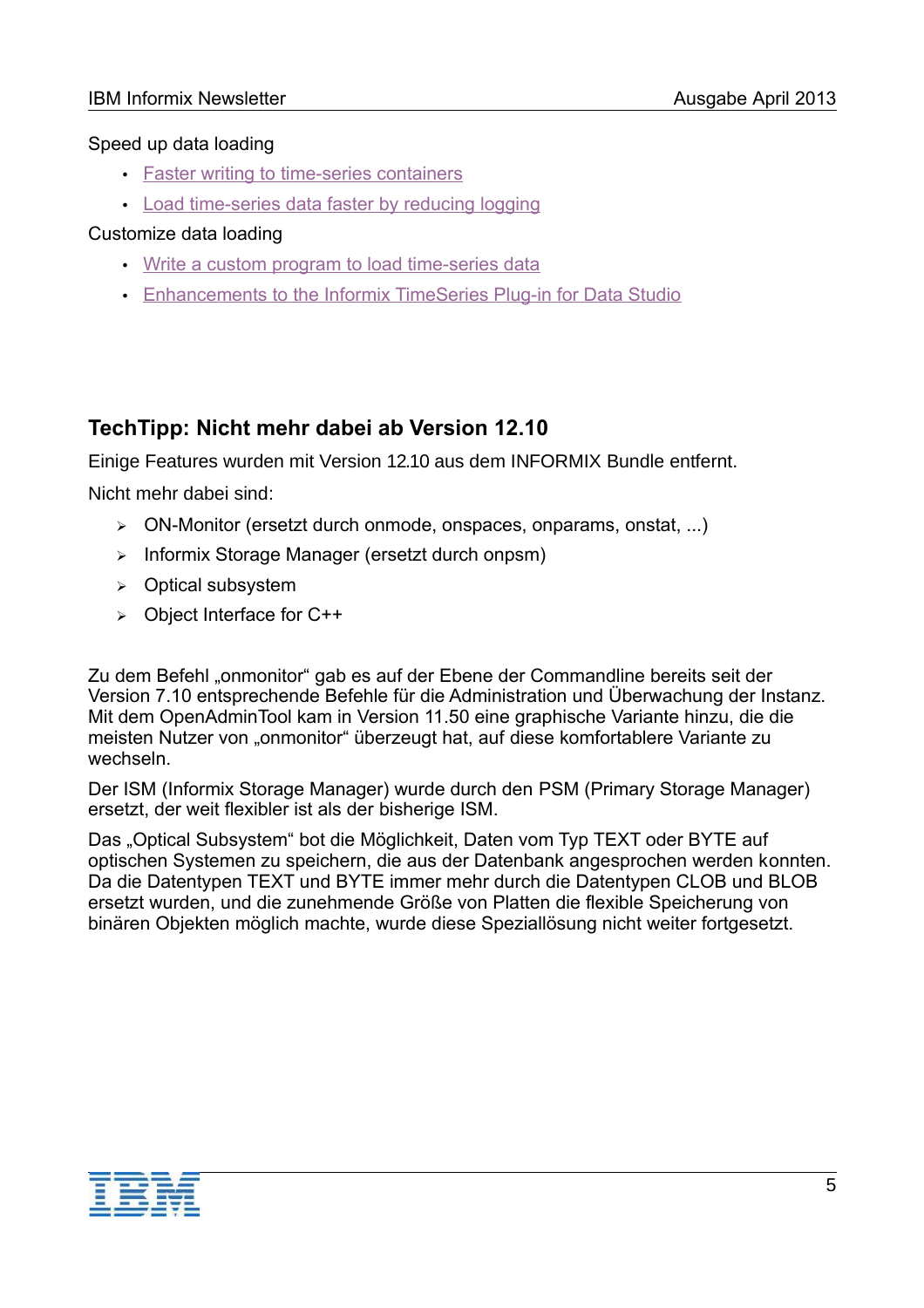### Speed up data loading

- • [Faster writing to time-series containers](http://pic.dhe.ibm.com/infocenter/informix/v121/topic/com.ibm.po.doc/new_features_ce.htm#newxc1__contr)
- [Load time-series data faster by reducing logging](http://pic.dhe.ibm.com/infocenter/informix/v121/topic/com.ibm.po.doc/new_features_ce.htm#newxc1__LOADTS)

## Customize data loading

- • [Write a custom program to load time-series data](http://pic.dhe.ibm.com/infocenter/informix/v121/topic/com.ibm.po.doc/new_features_ce.htm#newxc1__LOADER)
- [Enhancements to the Informix TimeSeries Plug-in for Data Studio](http://pic.dhe.ibm.com/infocenter/informix/v121/topic/com.ibm.po.doc/new_features_ce.htm#newxc1__feat_LOADTS)

# **TechTipp: Nicht mehr dabei ab Version 12.10**

Einige Features wurden mit Version 12.10 aus dem INFORMIX Bundle entfernt.

Nicht mehr dabei sind:

- ➢ ON-Monitor (ersetzt durch onmode, onspaces, onparams, onstat, ...)
- ➢ Informix Storage Manager (ersetzt durch onpsm)
- ➢ Optical subsystem
- ➢ Object Interface for C++

Zu dem Befehl "onmonitor" gab es auf der Ebene der Commandline bereits seit der Version 7.10 entsprechende Befehle für die Administration und Überwachung der Instanz. Mit dem OpenAdminTool kam in Version 11.50 eine graphische Variante hinzu, die die meisten Nutzer von "onmonitor" überzeugt hat, auf diese komfortablere Variante zu wechseln.

Der ISM (Informix Storage Manager) wurde durch den PSM (Primary Storage Manager) ersetzt, der weit flexibler ist als der bisherige ISM.

Das "Optical Subsystem" bot die Möglichkeit, Daten vom Typ TEXT oder BYTE auf optischen Systemen zu speichern, die aus der Datenbank angesprochen werden konnten. Da die Datentypen TEXT und BYTE immer mehr durch die Datentypen CLOB und BLOB ersetzt wurden, und die zunehmende Größe von Platten die flexible Speicherung von binären Objekten möglich machte, wurde diese Speziallösung nicht weiter fortgesetzt.

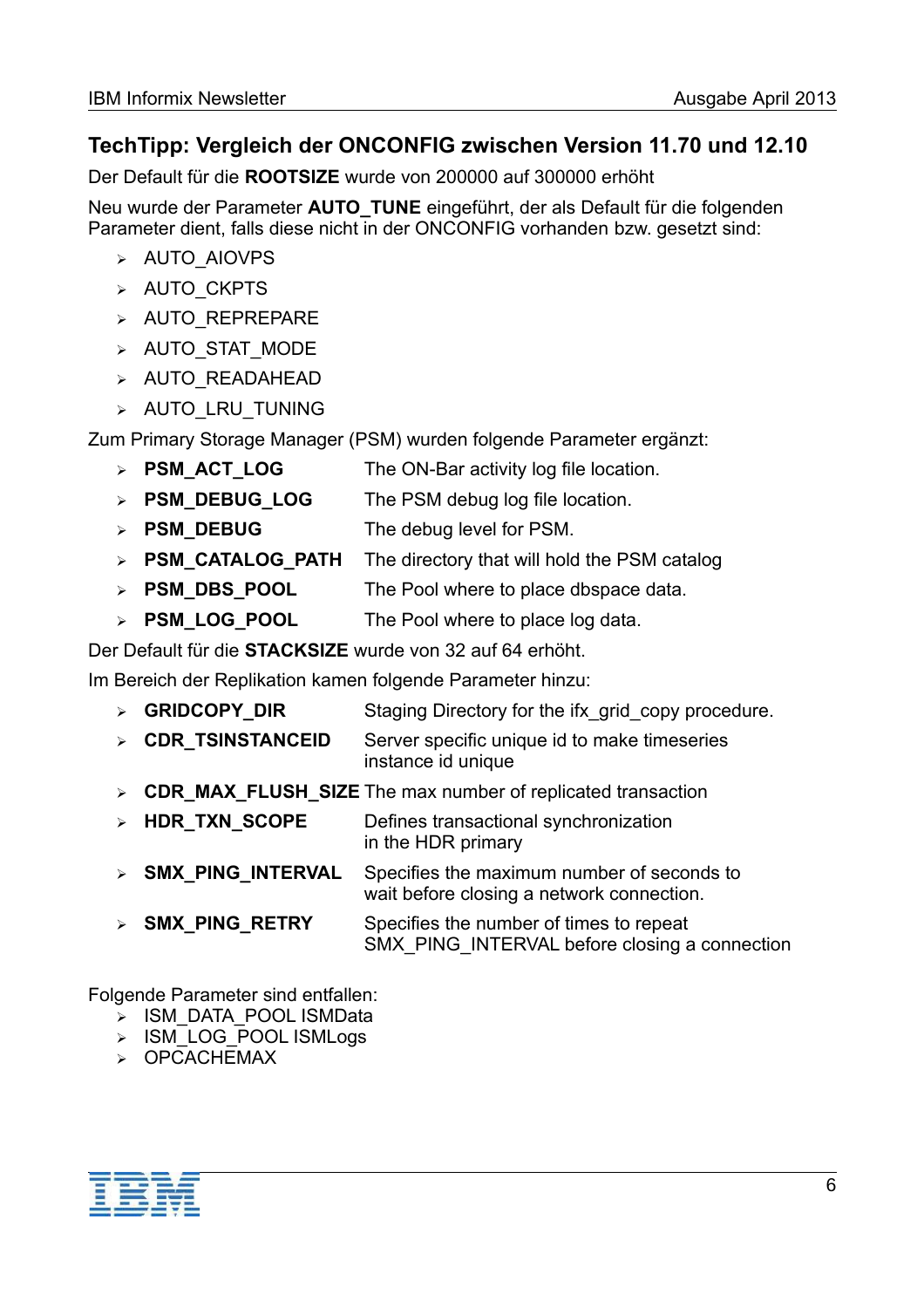# **TechTipp: Vergleich der ONCONFIG zwischen Version 11.70 und 12.10**

Der Default für die **ROOTSIZE** wurde von 200000 auf 300000 erhöht

Neu wurde der Parameter **AUTO\_TUNE** eingeführt, der als Default für die folgenden Parameter dient, falls diese nicht in der ONCONFIG vorhanden bzw. gesetzt sind:

- ➢ AUTO\_AIOVPS
- ➢ AUTO\_CKPTS
- ➢ AUTO\_REPREPARE
- ➢ AUTO\_STAT\_MODE
- ➢ AUTO\_READAHEAD
- ➢ AUTO\_LRU\_TUNING

Zum Primary Storage Manager (PSM) wurden folgende Parameter ergänzt:

- ➢ **PSM\_ACT\_LOG** The ON-Bar activity log file location.
- ➢ **PSM\_DEBUG\_LOG** The PSM debug log file location.
- ➢ **PSM\_DEBUG** The debug level for PSM.
- ➢ **PSM\_CATALOG\_PATH** The directory that will hold the PSM catalog
- ➢ **PSM\_DBS\_POOL** The Pool where to place dbspace data.
- ➢ **PSM\_LOG\_POOL** The Pool where to place log data.

Der Default für die **STACKSIZE** wurde von 32 auf 64 erhöht.

Im Bereich der Replikation kamen folgende Parameter hinzu:

- ➢ **GRIDCOPY\_DIR** Staging Directory for the ifx\_grid\_copy procedure.
- ➢ **CDR\_TSINSTANCEID** Server specific unique id to make timeseries instance id unique
- ➢ **CDR\_MAX\_FLUSH\_SIZE** The max number of replicated transaction
- ➢ **HDR\_TXN\_SCOPE** Defines transactional synchronization in the HDR primary
- **SMX PING INTERVAL** Specifies the maximum number of seconds to wait before closing a network connection.
- ➢ **SMX\_PING\_RETRY** Specifies the number of times to repeat SMX\_PING\_INTERVAL before closing a connection

Folgende Parameter sind entfallen:

- ➢ ISM\_DATA\_POOL ISMData
- ➢ ISM\_LOG\_POOL ISMLogs
- ➢ OPCACHEMAX

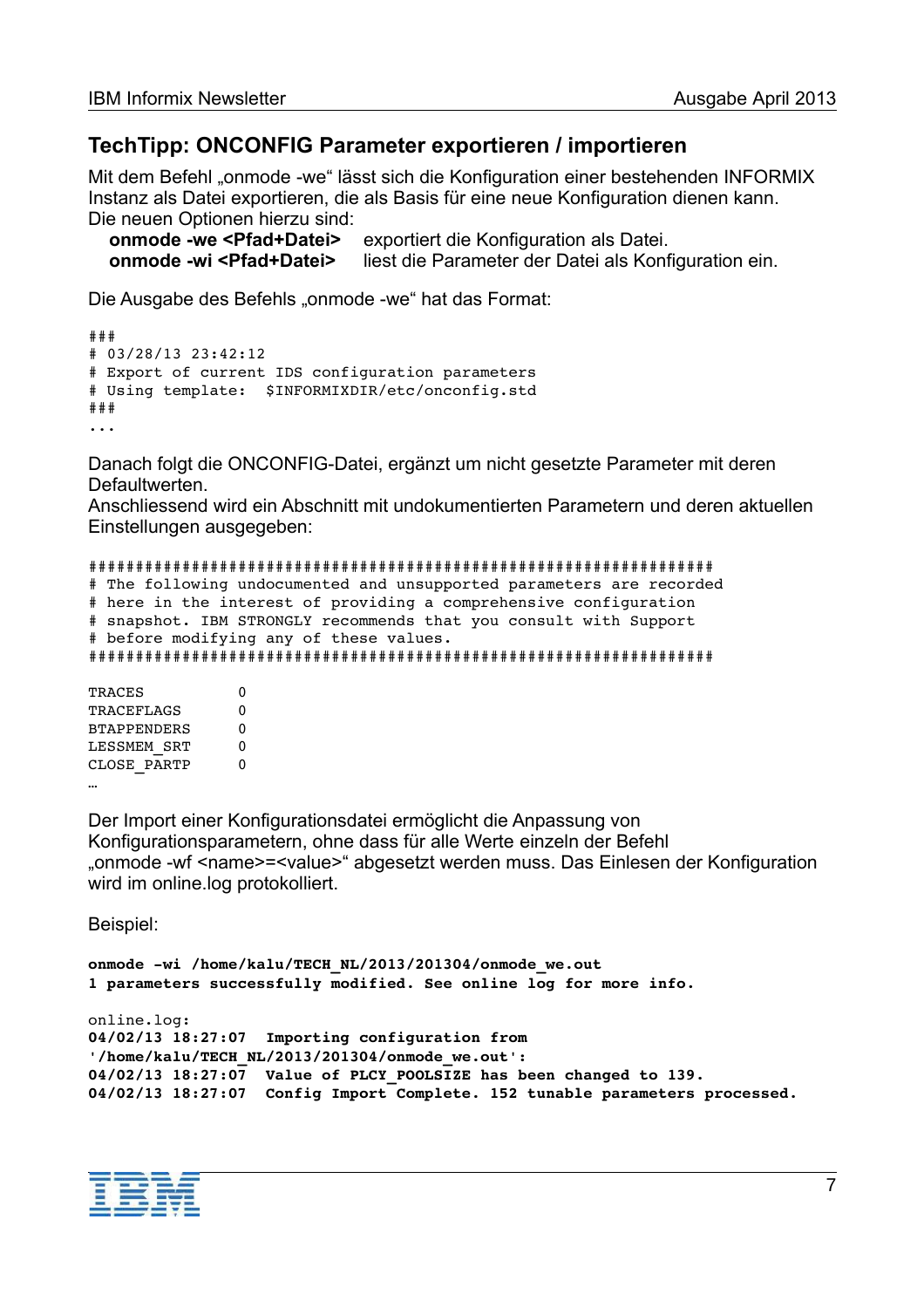## **TechTipp: ONCONFIG Parameter exportieren / importieren**

Mit dem Befehl "onmode -we" lässt sich die Konfiguration einer bestehenden INFORMIX Instanz als Datei exportieren, die als Basis für eine neue Konfiguration dienen kann. Die neuen Optionen hierzu sind:

 **onmode -we <Pfad+Datei>** exportiert die Konfiguration als Datei. **onmode -wi <Pfad+Datei>** liest die Parameter der Datei als Konfiguration ein.

Die Ausgabe des Befehls "onmode -we" hat das Format:

```
### 
# 03/28/13 23:42:12 
# Export of current IDS configuration parameters 
# Using template:  $INFORMIXDIR/etc/onconfig.std 
###
...
```
Danach folgt die ONCONFIG-Datei, ergänzt um nicht gesetzte Parameter mit deren **Defaultwerten** 

Anschliessend wird ein Abschnitt mit undokumentierten Parametern und deren aktuellen Einstellungen ausgegeben:

```
################################################################### 
# The following undocumented and unsupported parameters are recorded 
# here in the interest of providing a comprehensive configuration 
# snapshot. IBM STRONGLY recommends that you consult with Support 
# before modifying any of these values. 
###################################################################
```
TRACES 0 TRACEFLAGS 0 BTAPPENDERS 0 LESSMEM SRT 0 CLOSE PARTP 0 …

Der Import einer Konfigurationsdatei ermöglicht die Anpassung von Konfigurationsparametern, ohne dass für alle Werte einzeln der Befehl "onmode -wf <name>=<value>" abgesetzt werden muss. Das Einlesen der Konfiguration wird im online.log protokolliert.

Beispiel:

```
onmode -wi /home/kalu/TECH_NL/2013/201304/onmode_we.out
1 parameters successfully modified. See online log for more info. 
online.log:
04/02/13 18:27:07  Importing configuration from 
'/home/kalu/TECH_NL/2013/201304/onmode_we.out': 
04/02/13 18:27:07  Value of PLCY_POOLSIZE has been changed to 139. 
04/02/13 18:27:07  Config Import Complete. 152 tunable parameters processed.
```
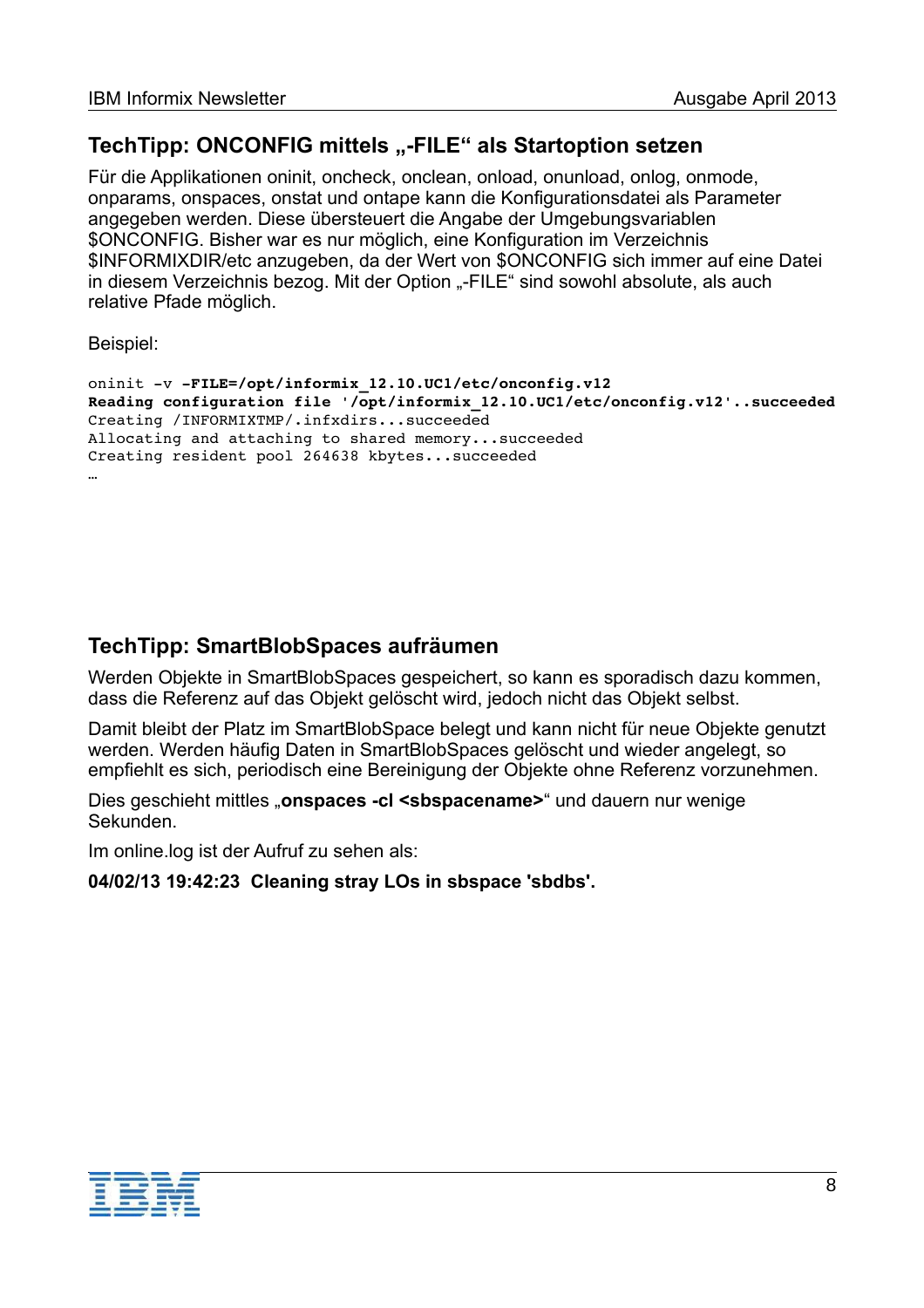# **TechTipp: ONCONFIG mittels ..-FILE" als Startoption setzen**

Für die Applikationen oninit, oncheck, onclean, onload, onunload, onlog, onmode, onparams, onspaces, onstat und ontape kann die Konfigurationsdatei als Parameter angegeben werden. Diese übersteuert die Angabe der Umgebungsvariablen \$ONCONFIG. Bisher war es nur möglich, eine Konfiguration im Verzeichnis \$INFORMIXDIR/etc anzugeben, da der Wert von \$ONCONFIG sich immer auf eine Datei in diesem Verzeichnis bezog. Mit der Option "-FILE" sind sowohl absolute, als auch relative Pfade möglich.

Beispiel:

```
oninit -v -FILE=/opt/informix 12.10.UC1/etc/onconfig.v12
Reading configuration file '/opt/informix_12.10.UC1/etc/onconfig.v12'..succeeded
Creating /INFORMIXTMP/.infxdirs...succeeded 
Allocating and attaching to shared memory...succeeded 
Creating resident pool 264638 kbytes...succeeded 
…
```
# **TechTipp: SmartBlobSpaces aufräumen**

Werden Objekte in SmartBlobSpaces gespeichert, so kann es sporadisch dazu kommen, dass die Referenz auf das Objekt gelöscht wird, jedoch nicht das Objekt selbst.

Damit bleibt der Platz im SmartBlobSpace belegt und kann nicht für neue Objekte genutzt werden. Werden häufig Daten in SmartBlobSpaces gelöscht und wieder angelegt, so empfiehlt es sich, periodisch eine Bereinigung der Objekte ohne Referenz vorzunehmen.

Dies geschieht mittles "onspaces -cl <sbspacename>" und dauern nur wenige Sekunden.

Im online.log ist der Aufruf zu sehen als:

**04/02/13 19:42:23 Cleaning stray LOs in sbspace 'sbdbs'.**

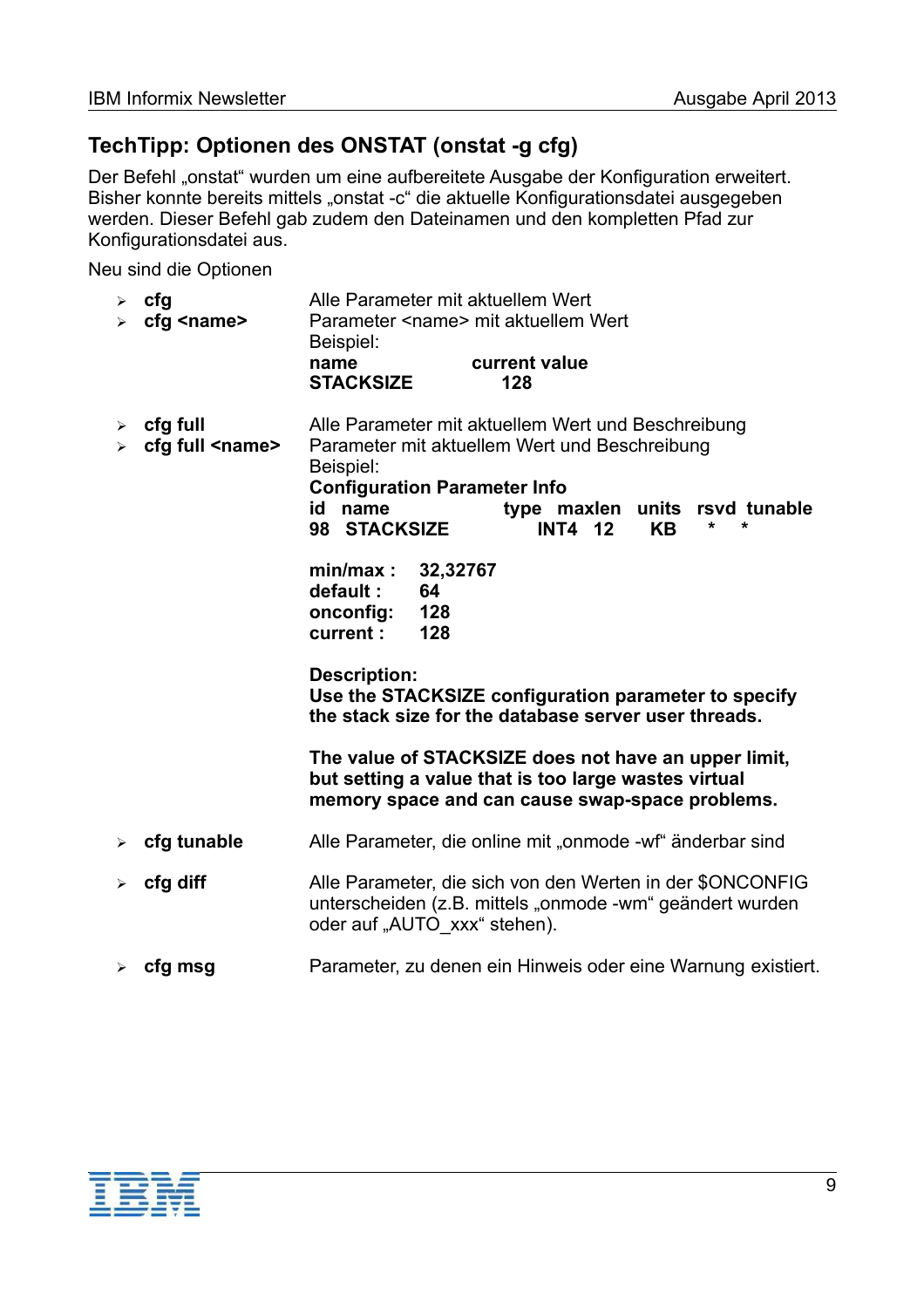# **TechTipp: Optionen des ONSTAT (onstat -g cfg)**

Der Befehl "onstat" wurden um eine aufbereitete Ausgabe der Konfiguration erweitert. Bisher konnte bereits mittels "onstat -c" die aktuelle Konfigurationsdatei ausgegeben werden. Dieser Befehl gab zudem den Dateinamen und den kompletten Pfad zur Konfigurationsdatei aus.

Neu sind die Optionen

| cfg<br>➤<br>cfg <name><br/>➤</name>                                          | Alle Parameter mit aktuellem Wert<br>Parameter <name> mit aktuellem Wert<br/>Beispiel:<br/>current value</name>                                                                                                                                              |
|------------------------------------------------------------------------------|--------------------------------------------------------------------------------------------------------------------------------------------------------------------------------------------------------------------------------------------------------------|
|                                                                              | name<br><b>STACKSIZE</b><br>128                                                                                                                                                                                                                              |
| cfg full<br>➤<br>cfg full <name><br/><math>\blacktriangleright</math></name> | Alle Parameter mit aktuellem Wert und Beschreibung<br>Parameter mit aktuellem Wert und Beschreibung<br>Beispiel:<br><b>Configuration Parameter Info</b><br>id name<br>type maxlen units rsvd tunable<br>$\star$<br>98 STACKSIZE<br>*<br><b>INT4 12</b><br>KΒ |
|                                                                              | min/max:<br>32,32767<br>default:<br>64<br>128<br>onconfig:<br>128<br>current :                                                                                                                                                                               |
|                                                                              | <b>Description:</b><br>Use the STACKSIZE configuration parameter to specify<br>the stack size for the database server user threads.                                                                                                                          |
|                                                                              | The value of STACKSIZE does not have an upper limit,<br>but setting a value that is too large wastes virtual<br>memory space and can cause swap-space problems.                                                                                              |
| cfg tunable                                                                  | Alle Parameter, die online mit "onmode -wf" änderbar sind                                                                                                                                                                                                    |
| cfg diff<br>➤                                                                | Alle Parameter, die sich von den Werten in der \$ONCONFIG<br>unterscheiden (z.B. mittels "onmode -wm" geändert wurden<br>oder auf "AUTO xxx" stehen).                                                                                                        |
| cfg msg                                                                      | Parameter, zu denen ein Hinweis oder eine Warnung existiert.                                                                                                                                                                                                 |

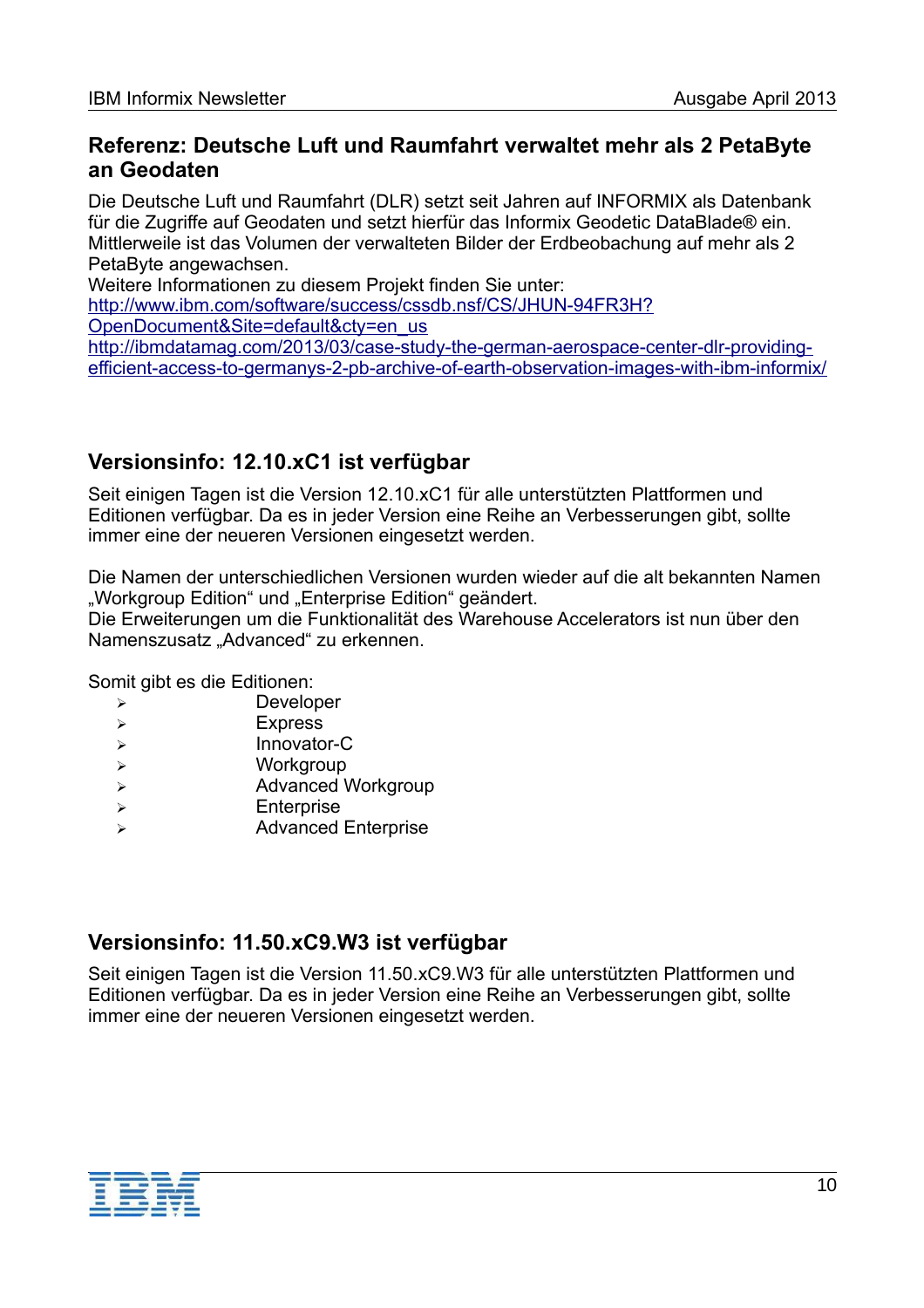## **Referenz: Deutsche Luft und Raumfahrt verwaltet mehr als 2 PetaByte an Geodaten**

Die Deutsche Luft und Raumfahrt (DLR) setzt seit Jahren auf INFORMIX als Datenbank für die Zugriffe auf Geodaten und setzt hierfür das Informix Geodetic DataBlade® ein. Mittlerweile ist das Volumen der verwalteten Bilder der Erdbeobachung auf mehr als 2 PetaByte angewachsen.

Weitere Informationen zu diesem Projekt finden Sie unter:

[http://www.ibm.com/software/success/cssdb.nsf/CS/JHUN-94FR3H?](http://www-01.ibm.com/software/success/cssdb.nsf/CS/JHUN-94FR3H?OpenDocument&Site=default&cty=en_us) [OpenDocument&Site=default&cty=en\\_us](http://www-01.ibm.com/software/success/cssdb.nsf/CS/JHUN-94FR3H?OpenDocument&Site=default&cty=en_us)

[http://ibmdatamag.com/2013/03/case-study-the-german-aerospace-center-dlr-providing](http://ibmdatamag.com/2013/03/case-study-the-german-aerospace-center-dlr-providing-efficient-access-to-germanys-2-pb-archive-of-earth-observation-images-with-ibm-informix/)[efficient-access-to-germanys-2-pb-archive-of-earth-observation-images-with-ibm-informix/](http://ibmdatamag.com/2013/03/case-study-the-german-aerospace-center-dlr-providing-efficient-access-to-germanys-2-pb-archive-of-earth-observation-images-with-ibm-informix/)

# **Versionsinfo: 12.10.xC1 ist verfügbar**

Seit einigen Tagen ist die Version 12.10.xC1 für alle unterstützten Plattformen und Editionen verfügbar. Da es in jeder Version eine Reihe an Verbesserungen gibt, sollte immer eine der neueren Versionen eingesetzt werden.

Die Namen der unterschiedlichen Versionen wurden wieder auf die alt bekannten Namen "Workgroup Edition" und "Enterprise Edition" geändert.

Die Erweiterungen um die Funktionalität des Warehouse Accelerators ist nun über den Namenszusatz "Advanced" zu erkennen.

Somit gibt es die Editionen:

- ➢ Developer
- ➢ Express
- ➢ Innovator-C
- ➢ Workgroup
- ➢ Advanced Workgroup
- ➢ Enterprise
- ➢ Advanced Enterprise

## **Versionsinfo: 11.50.xC9.W3 ist verfügbar**

Seit einigen Tagen ist die Version 11.50.xC9.W3 für alle unterstützten Plattformen und Editionen verfügbar. Da es in jeder Version eine Reihe an Verbesserungen gibt, sollte immer eine der neueren Versionen eingesetzt werden.

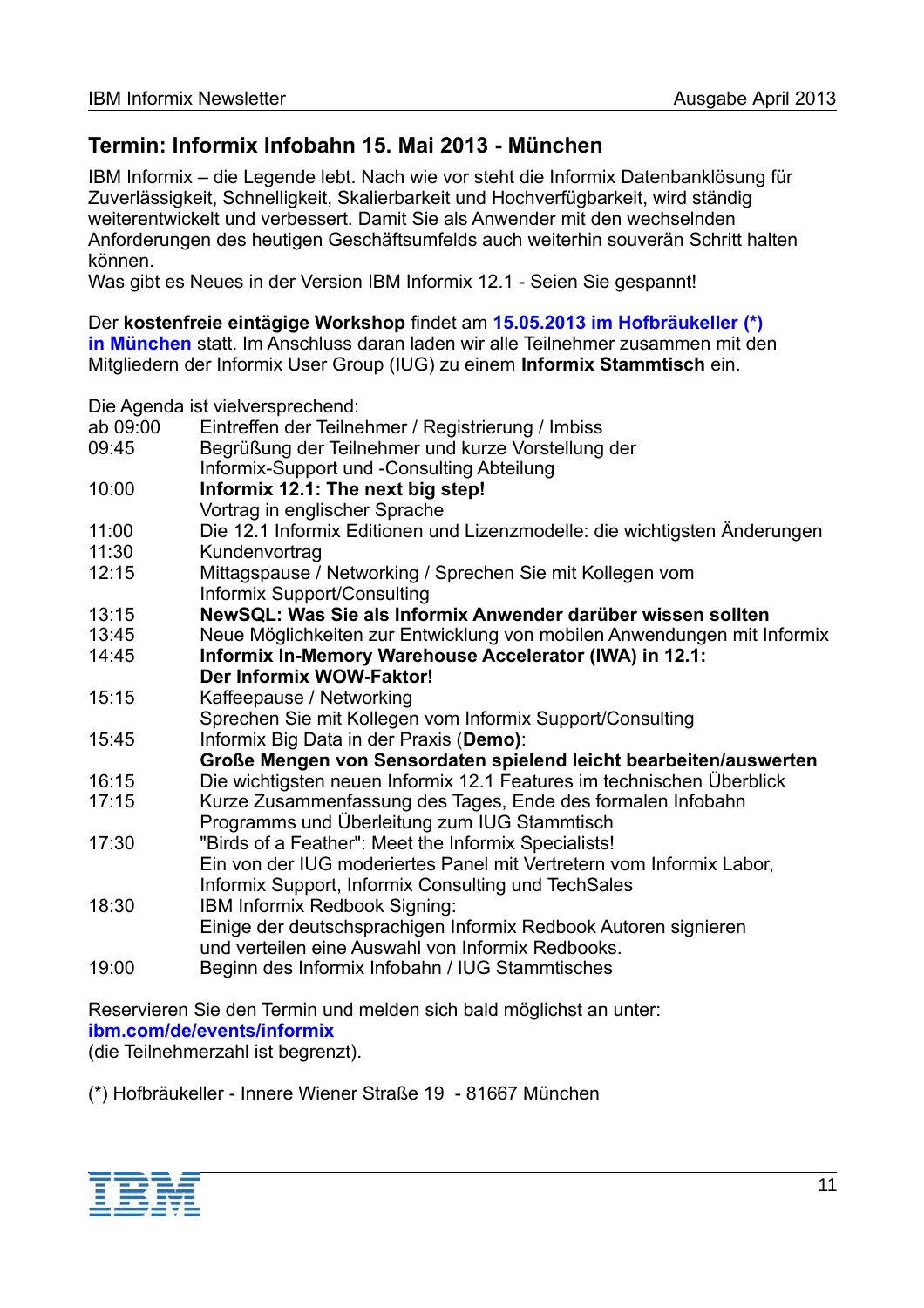# **Termin: Informix Infobahn 15. Mai 2013 - München**

IBM Informix – die Legende lebt. Nach wie vor steht die Informix Datenbanklösung für Zuverlässigkeit, Schnelligkeit, Skalierbarkeit und Hochverfügbarkeit, wird ständig weiterentwickelt und verbessert. Damit Sie als Anwender mit den wechselnden Anforderungen des heutigen Geschäftsumfelds auch weiterhin souverän Schritt halten können.

Was gibt es Neues in der Version IBM Informix 12.1 - Seien Sie gespannt!

Der **kostenfreie eintägige Workshop** findet am **15.05.2013 im Hofbräukeller (\*)**

**in München** statt. Im Anschluss daran laden wir alle Teilnehmer zusammen mit den Mitgliedern der Informix User Group (IUG) zu einem **Informix Stammtisch** ein.

Die Agenda ist vielversprechend:

| ab 09:00 | Eintreffen der Teilnehmer / Registrierung / Imbiss                        |
|----------|---------------------------------------------------------------------------|
| 09:45    | Begrüßung der Teilnehmer und kurze Vorstellung der                        |
|          | Informix-Support und -Consulting Abteilung                                |
| 10:00    | Informix 12.1: The next big step!                                         |
|          | Vortrag in englischer Sprache                                             |
| 11:00    | Die 12.1 Informix Editionen und Lizenzmodelle: die wichtigsten Änderungen |
| 11:30    | Kundenvortrag                                                             |
| 12:15    | Mittagspause / Networking / Sprechen Sie mit Kollegen vom                 |
|          | Informix Support/Consulting                                               |
| 13:15    | NewSQL: Was Sie als Informix Anwender darüber wissen sollten              |
| 13:45    | Neue Möglichkeiten zur Entwicklung von mobilen Anwendungen mit Informix   |
| 14:45    | Informix In-Memory Warehouse Accelerator (IWA) in 12.1:                   |
|          | Der Informix WOW-Faktor!                                                  |
| 15:15    | Kaffeepause / Networking                                                  |
|          | Sprechen Sie mit Kollegen vom Informix Support/Consulting                 |
| 15:45    | Informix Big Data in der Praxis (Demo):                                   |
|          | Große Mengen von Sensordaten spielend leicht bearbeiten/auswerten         |
| 16:15    | Die wichtigsten neuen Informix 12.1 Features im technischen Überblick     |
| 17:15    | Kurze Zusammenfassung des Tages, Ende des formalen Infobahn               |
|          | Programms und Überleitung zum IUG Stammtisch                              |
| 17:30    | "Birds of a Feather": Meet the Informix Specialists!                      |
|          | Ein von der IUG moderiertes Panel mit Vertretern vom Informix Labor,      |
|          | Informix Support, Informix Consulting und TechSales                       |
| 18:30    | IBM Informix Redbook Signing:                                             |
|          | Einige der deutschsprachigen Informix Redbook Autoren signieren           |
|          | und verteilen eine Auswahl von Informix Redbooks.                         |
| 19:00    | Beginn des Informix Infobahn / IUG Stammtisches                           |

Reservieren Sie den Termin und melden sich bald möglichst an unter: **[ibm.com/de/events/informix](http://www.ibm.com/de/events/informix)** (die Teilnehmerzahl ist begrenzt).

(\*) Hofbräukeller - Innere Wiener Straße 19 - 81667 München

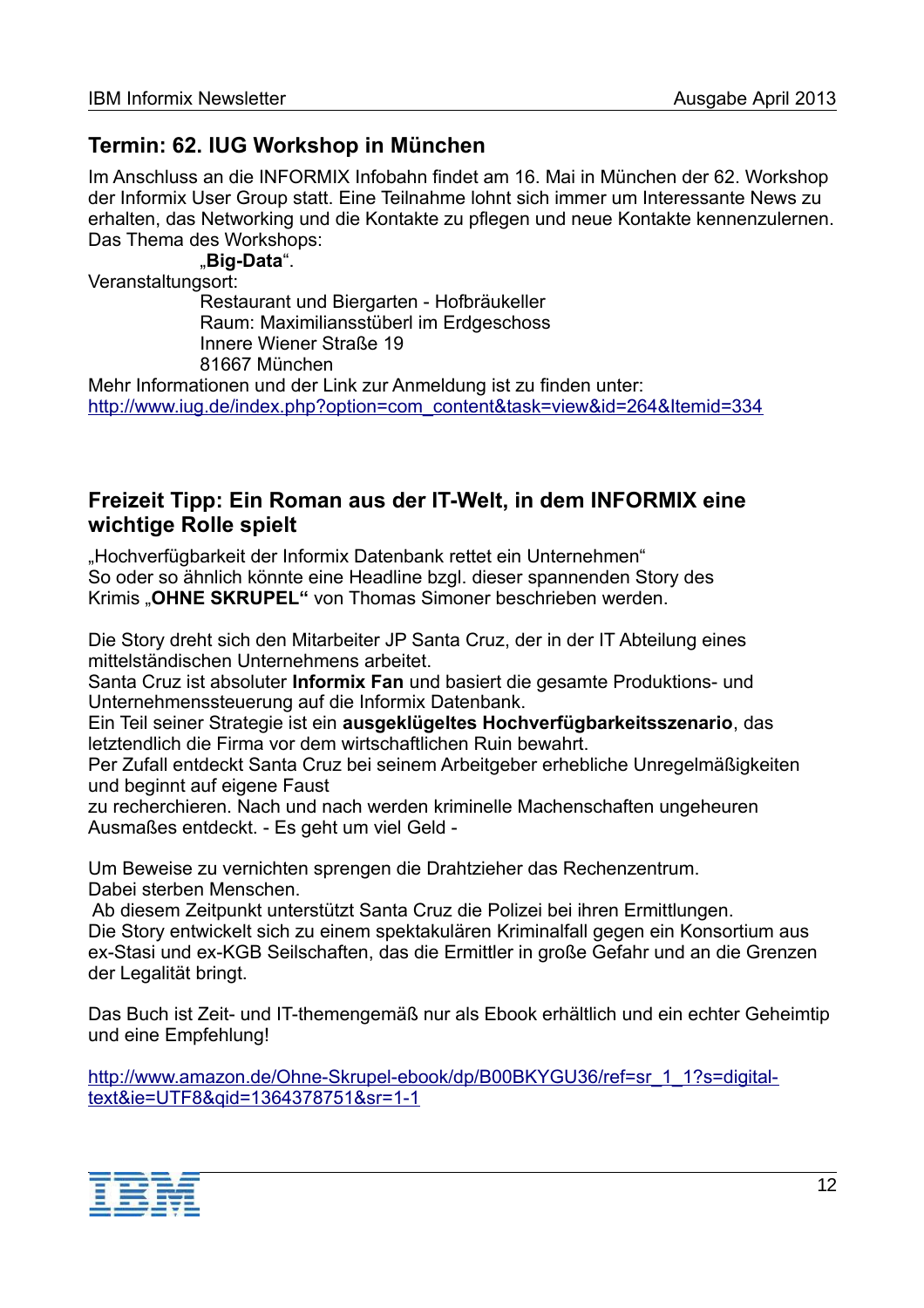# **Termin: 62. IUG Workshop in München**

Im Anschluss an die INFORMIX Infobahn findet am 16. Mai in München der 62. Workshop der Informix User Group statt. Eine Teilnahme lohnt sich immer um Interessante News zu erhalten, das Networking und die Kontakte zu pflegen und neue Kontakte kennenzulernen. Das Thema des Workshops:

"**Big-Data**".

Veranstaltungsort:

Restaurant und Biergarten - Hofbräukeller Raum: Maximiliansstüberl im Erdgeschoss Innere Wiener Straße 19 81667 München

Mehr Informationen und der Link zur Anmeldung ist zu finden unter: [http://www.iug.de/index.php?option=com\\_content&task=view&id=264&Itemid=334](http://www.iug.de/index.php?option=com_content&task=view&id=264&Itemid=334)

## **Freizeit Tipp: Ein Roman aus der IT-Welt, in dem INFORMIX eine wichtige Rolle spielt**

"Hochverfügbarkeit der Informix Datenbank rettet ein Unternehmen" So oder so ähnlich könnte eine Headline bzgl. dieser spannenden Story des Krimis "OHNE SKRUPEL" von Thomas Simoner beschrieben werden.

Die Story dreht sich den Mitarbeiter JP Santa Cruz, der in der IT Abteilung eines mittelständischen Unternehmens arbeitet.

Santa Cruz ist absoluter **Informix Fan** und basiert die gesamte Produktions- und Unternehmenssteuerung auf die Informix Datenbank.

Ein Teil seiner Strategie ist ein **ausgeklügeltes Hochverfügbarkeitsszenario**, das letztendlich die Firma vor dem wirtschaftlichen Ruin bewahrt.

Per Zufall entdeckt Santa Cruz bei seinem Arbeitgeber erhebliche Unregelmäßigkeiten und beginnt auf eigene Faust

zu recherchieren. Nach und nach werden kriminelle Machenschaften ungeheuren Ausmaßes entdeckt. - Es geht um viel Geld -

Um Beweise zu vernichten sprengen die Drahtzieher das Rechenzentrum. Dabei sterben Menschen.

 Ab diesem Zeitpunkt unterstützt Santa Cruz die Polizei bei ihren Ermittlungen. Die Story entwickelt sich zu einem spektakulären Kriminalfall gegen ein Konsortium aus ex-Stasi und ex-KGB Seilschaften, das die Ermittler in große Gefahr und an die Grenzen der Legalität bringt.

Das Buch ist Zeit- und IT-themengemäß nur als Ebook erhältlich und ein echter Geheimtip und eine Empfehlung!

[http://www.amazon.de/Ohne-Skrupel-ebook/dp/B00BKYGU36/ref=sr\\_1\\_1?s=digital](http://www.amazon.de/Ohne-Skrupel-ebook/dp/B00BKYGU36/ref=sr_1_1?s=digital-text&ie=UTF8&qid=1364378751&sr=1-1)[text&ie=UTF8&qid=1364378751&sr=1-1](http://www.amazon.de/Ohne-Skrupel-ebook/dp/B00BKYGU36/ref=sr_1_1?s=digital-text&ie=UTF8&qid=1364378751&sr=1-1)

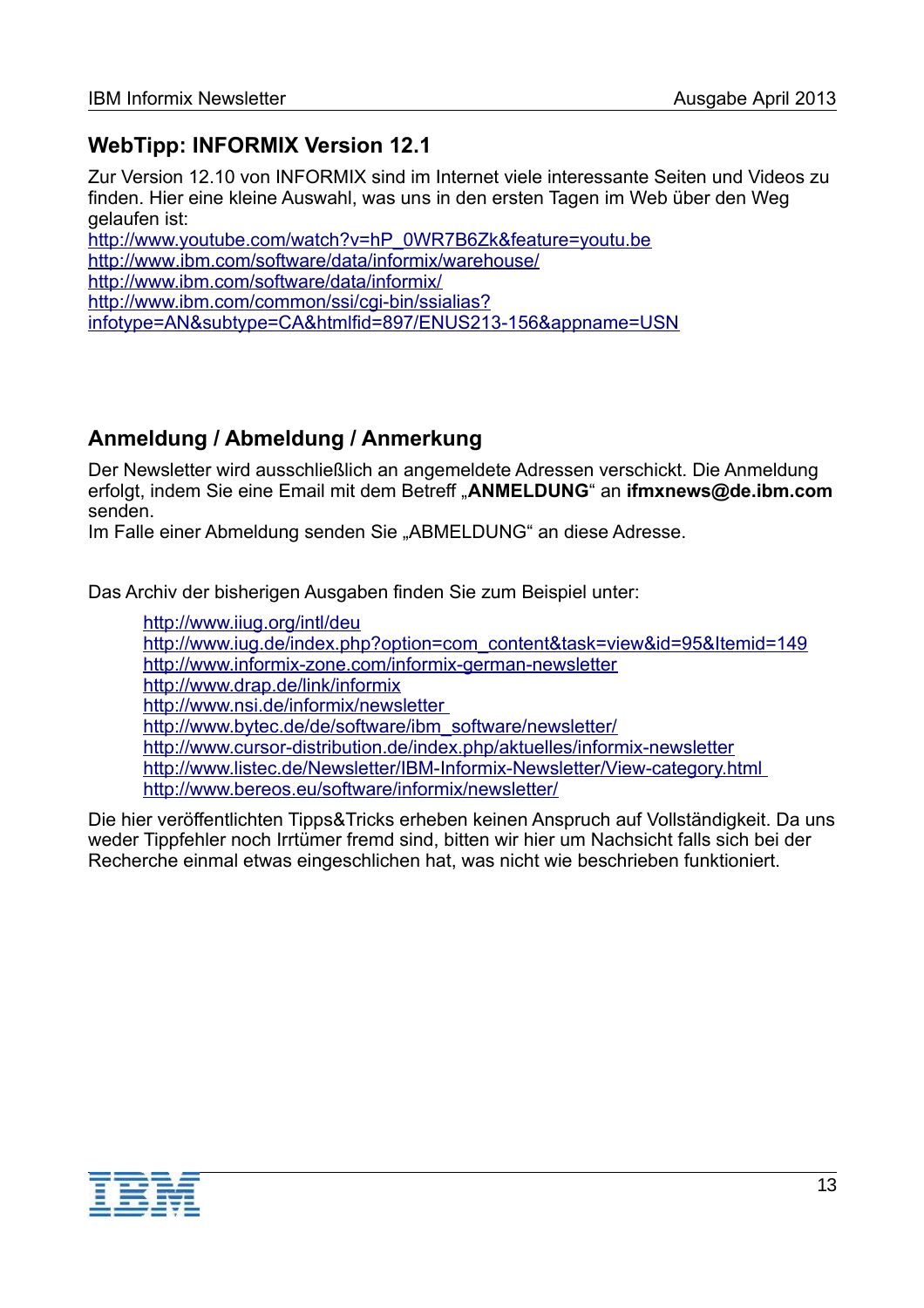# **WebTipp: INFORMIX Version 12.1**

Zur Version 12.10 von INFORMIX sind im Internet viele interessante Seiten und Videos zu finden. Hier eine kleine Auswahl, was uns in den ersten Tagen im Web über den Weg gelaufen ist:

[http://www.youtube.com/watch?v=hP\\_0WR7B6Zk&feature=youtu.be](http://www.youtube.com/watch?v=hP_0WR7B6Zk&feature=youtu.be) http://www.ibm.com/software/data/informix/warehouse/ [http://www.ibm.com/software/data/informix/](http://www-01.ibm.com/software/data/informix/) [http://www.ibm.com/common/ssi/cgi-bin/ssialias?](http://www-01.ibm.com/common/ssi/cgi-bin/ssialias?infotype=AN&subtype=CA&htmlfid=897/ENUS213-156&appname=USN) [infotype=AN&subtype=CA&htmlfid=897/ENUS213-156&appname=USN](http://www-01.ibm.com/common/ssi/cgi-bin/ssialias?infotype=AN&subtype=CA&htmlfid=897/ENUS213-156&appname=USN)

# **Anmeldung / Abmeldung / Anmerkung**

Der Newsletter wird ausschließlich an angemeldete Adressen verschickt. Die Anmeldung erfolgt, indem Sie eine Email mit dem Betreff "**ANMELDUNG**" an **[ifmxnews@de.ibm.com](mailto:ifmxnews@de.ibm.com)** senden.

Im Falle einer Abmeldung senden Sie "ABMELDUNG" an diese Adresse.

Das Archiv der bisherigen Ausgaben finden Sie zum Beispiel unter:

<http://www.iiug.org/intl/deu> [http://www.iug.de/index.php?option=com\\_content&task=view&id=95&Itemid=149](http://www.iug.de/Informix/techn_news.htm) <http://www.informix-zone.com/informix-german-newsletter> <http://www.drap.de/link/informix> <http://www.nsi.de/informix/newsletter> [http://www.bytec.de/de/software/ibm\\_software/newsletter/](http://www.bytec.de/de/software/ibm_software/newsletter/) <http://www.cursor-distribution.de/index.php/aktuelles/informix-newsletter> <http://www.listec.de/Newsletter/IBM-Informix-Newsletter/View-category.html> <http://www.bereos.eu/software/informix/newsletter/>

Die hier veröffentlichten Tipps&Tricks erheben keinen Anspruch auf Vollständigkeit. Da uns weder Tippfehler noch Irrtümer fremd sind, bitten wir hier um Nachsicht falls sich bei der Recherche einmal etwas eingeschlichen hat, was nicht wie beschrieben funktioniert.